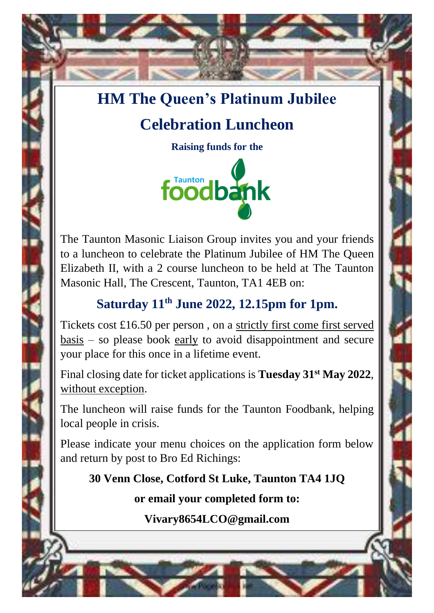## **HM The Queen's Platinum Jubilee**

# **Celebration Luncheon**

**Raising funds for the**



The Taunton Masonic Liaison Group invites you and your friends to a luncheon to celebrate the Platinum Jubilee of HM The Queen Elizabeth II, with a 2 course luncheon to be held at The Taunton Masonic Hall, The Crescent, Taunton, TA1 4EB on:

## **Saturday 11th June 2022, 12.15pm for 1pm.**

Tickets cost £16.50 per person , on a strictly first come first served  $basis - so please book early to avoid disappointment and secure$ your place for this once in a lifetime event.

Final closing date for ticket applications is **Tuesday 31st May 2022**, without exception.

The luncheon will raise funds for the Taunton Foodbank, helping local people in crisis.

Please indicate your menu choices on the application form below and return by post to Bro Ed Richings:

**30 Venn Close, Cotford St Luke, Taunton TA4 1JQ**

**or email your completed form to:**

**Vivary8654LCO@gmail.com**